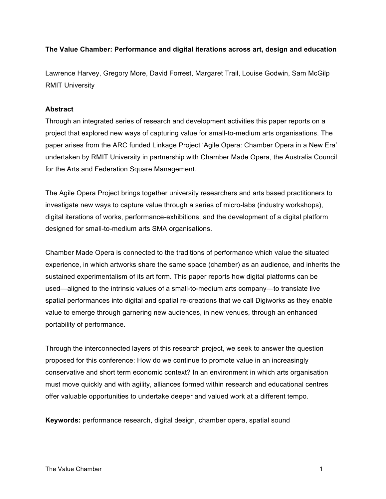# **The Value Chamber: Performance and digital iterations across art, design and education**

Lawrence Harvey, Gregory More, David Forrest, Margaret Trail, Louise Godwin, Sam McGilp RMIT University

### **Abstract**

Through an integrated series of research and development activities this paper reports on a project that explored new ways of capturing value for small-to-medium arts organisations. The paper arises from the ARC funded Linkage Project 'Agile Opera: Chamber Opera in a New Era' undertaken by RMIT University in partnership with Chamber Made Opera, the Australia Council for the Arts and Federation Square Management.

The Agile Opera Project brings together university researchers and arts based practitioners to investigate new ways to capture value through a series of micro-labs (industry workshops), digital iterations of works, performance-exhibitions, and the development of a digital platform designed for small-to-medium arts SMA organisations.

Chamber Made Opera is connected to the traditions of performance which value the situated experience, in which artworks share the same space (chamber) as an audience, and inherits the sustained experimentalism of its art form. This paper reports how digital platforms can be used—aligned to the intrinsic values of a small-to-medium arts company—to translate live spatial performances into digital and spatial re-creations that we call Digiworks as they enable value to emerge through garnering new audiences, in new venues, through an enhanced portability of performance.

Through the interconnected layers of this research project, we seek to answer the question proposed for this conference: How do we continue to promote value in an increasingly conservative and short term economic context? In an environment in which arts organisation must move quickly and with agility, alliances formed within research and educational centres offer valuable opportunities to undertake deeper and valued work at a different tempo.

**Keywords:** performance research, digital design, chamber opera, spatial sound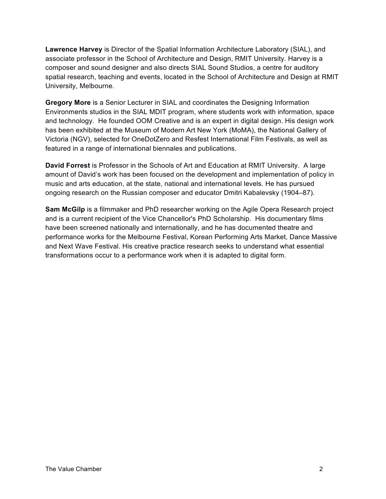**Lawrence Harvey** is Director of the Spatial Information Architecture Laboratory (SIAL), and associate professor in the School of Architecture and Design, RMIT University. Harvey is a composer and sound designer and also directs SIAL Sound Studios, a centre for auditory spatial research, teaching and events, located in the School of Architecture and Design at RMIT University, Melbourne.

**Gregory More** is a Senior Lecturer in SIAL and coordinates the Designing Information Environments studios in the SIAL MDIT program, where students work with information, space and technology. He founded OOM Creative and is an expert in digital design. His design work has been exhibited at the Museum of Modern Art New York (MoMA), the National Gallery of Victoria (NGV), selected for OneDotZero and Resfest International Film Festivals, as well as featured in a range of international biennales and publications.

**David Forrest** is Professor in the Schools of Art and Education at RMIT University. A large amount of David's work has been focused on the development and implementation of policy in music and arts education, at the state, national and international levels. He has pursued ongoing research on the Russian composer and educator Dmitri Kabalevsky (1904–87).

**Sam McGilp** is a filmmaker and PhD researcher working on the Agile Opera Research project and is a current recipient of the Vice Chancellor's PhD Scholarship. His documentary films have been screened nationally and internationally, and he has documented theatre and performance works for the Melbourne Festival, Korean Performing Arts Market, Dance Massive and Next Wave Festival. His creative practice research seeks to understand what essential transformations occur to a performance work when it is adapted to digital form.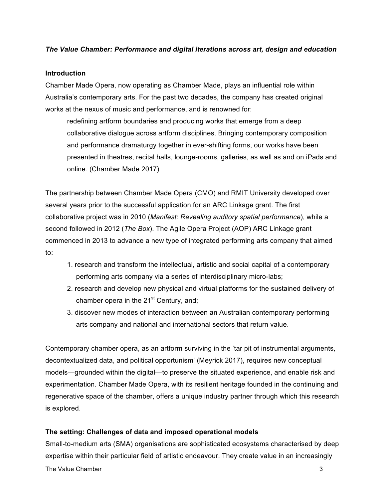# *The Value Chamber: Performance and digital iterations across art, design and education*

### **Introduction**

Chamber Made Opera, now operating as Chamber Made, plays an influential role within Australia's contemporary arts. For the past two decades, the company has created original works at the nexus of music and performance, and is renowned for:

redefining artform boundaries and producing works that emerge from a deep collaborative dialogue across artform disciplines. Bringing contemporary composition and performance dramaturgy together in ever-shifting forms, our works have been presented in theatres, recital halls, lounge-rooms, galleries, as well as and on iPads and online. (Chamber Made 2017)

The partnership between Chamber Made Opera (CMO) and RMIT University developed over several years prior to the successful application for an ARC Linkage grant. The first collaborative project was in 2010 (*Manifest: Revealing auditory spatial performance*), while a second followed in 2012 (*The Box*). The Agile Opera Project (AOP) ARC Linkage grant commenced in 2013 to advance a new type of integrated performing arts company that aimed to:

- 1. research and transform the intellectual, artistic and social capital of a contemporary performing arts company via a series of interdisciplinary micro-labs;
- 2. research and develop new physical and virtual platforms for the sustained delivery of chamber opera in the  $21<sup>st</sup>$  Century, and;
- 3. discover new modes of interaction between an Australian contemporary performing arts company and national and international sectors that return value.

Contemporary chamber opera, as an artform surviving in the 'tar pit of instrumental arguments, decontextualized data, and political opportunism' (Meyrick 2017), requires new conceptual models—grounded within the digital—to preserve the situated experience, and enable risk and experimentation. Chamber Made Opera, with its resilient heritage founded in the continuing and regenerative space of the chamber, offers a unique industry partner through which this research is explored.

# **The setting: Challenges of data and imposed operational models**

The Value Chamber 3 and 2008 and 2009 and 2009 and 2009 and 2009 and 2009 and 2009 and 2009 and 2009 and 2009  $\beta$ Small-to-medium arts (SMA) organisations are sophisticated ecosystems characterised by deep expertise within their particular field of artistic endeavour. They create value in an increasingly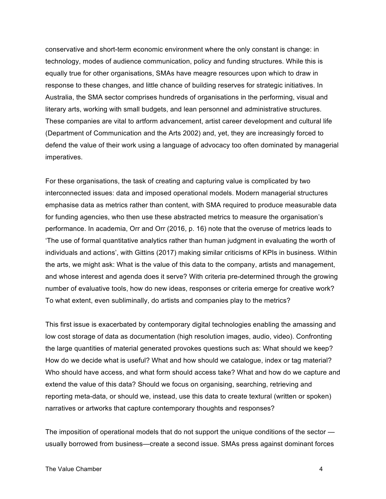conservative and short-term economic environment where the only constant is change: in technology, modes of audience communication, policy and funding structures. While this is equally true for other organisations, SMAs have meagre resources upon which to draw in response to these changes, and little chance of building reserves for strategic initiatives. In Australia, the SMA sector comprises hundreds of organisations in the performing, visual and literary arts, working with small budgets, and lean personnel and administrative structures. These companies are vital to artform advancement, artist career development and cultural life (Department of Communication and the Arts 2002) and, yet, they are increasingly forced to defend the value of their work using a language of advocacy too often dominated by managerial imperatives.

For these organisations, the task of creating and capturing value is complicated by two interconnected issues: data and imposed operational models. Modern managerial structures emphasise data as metrics rather than content, with SMA required to produce measurable data for funding agencies, who then use these abstracted metrics to measure the organisation's performance. In academia, Orr and Orr (2016, p. 16) note that the overuse of metrics leads to 'The use of formal quantitative analytics rather than human judgment in evaluating the worth of individuals and actions', with Gittins (2017) making similar criticisms of KPIs in business. Within the arts, we might ask: What is the value of this data to the company, artists and management, and whose interest and agenda does it serve? With criteria pre-determined through the growing number of evaluative tools, how do new ideas, responses or criteria emerge for creative work? To what extent, even subliminally, do artists and companies play to the metrics?

This first issue is exacerbated by contemporary digital technologies enabling the amassing and low cost storage of data as documentation (high resolution images, audio, video). Confronting the large quantities of material generated provokes questions such as: What should we keep? How do we decide what is useful? What and how should we catalogue, index or tag material? Who should have access, and what form should access take? What and how do we capture and extend the value of this data? Should we focus on organising, searching, retrieving and reporting meta-data, or should we, instead, use this data to create textural (written or spoken) narratives or artworks that capture contemporary thoughts and responses?

The imposition of operational models that do not support the unique conditions of the sector usually borrowed from business—create a second issue. SMAs press against dominant forces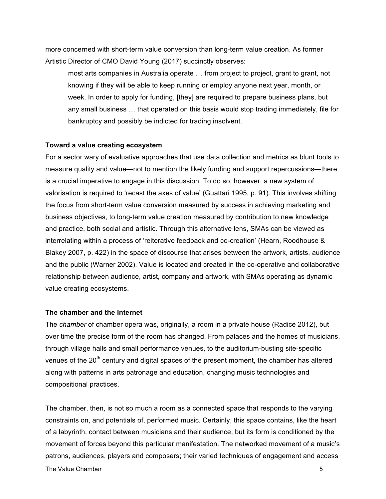more concerned with short-term value conversion than long-term value creation. As former Artistic Director of CMO David Young (2017) succinctly observes:

most arts companies in Australia operate … from project to project, grant to grant, not knowing if they will be able to keep running or employ anyone next year, month, or week. In order to apply for funding, [they] are required to prepare business plans, but any small business … that operated on this basis would stop trading immediately, file for bankruptcy and possibly be indicted for trading insolvent.

### **Toward a value creating ecosystem**

For a sector wary of evaluative approaches that use data collection and metrics as blunt tools to measure quality and value—not to mention the likely funding and support repercussions—there is a crucial imperative to engage in this discussion. To do so, however, a new system of valorisation is required to 'recast the axes of value' (Guattari 1995, p. 91). This involves shifting the focus from short-term value conversion measured by success in achieving marketing and business objectives, to long-term value creation measured by contribution to new knowledge and practice, both social and artistic. Through this alternative lens, SMAs can be viewed as interrelating within a process of 'reiterative feedback and co-creation' (Hearn, Roodhouse & Blakey 2007, p. 422) in the space of discourse that arises between the artwork, artists, audience and the public (Warner 2002). Value is located and created in the co-operative and collaborative relationship between audience, artist, company and artwork, with SMAs operating as dynamic value creating ecosystems.

### **The chamber and the Internet**

The *chamber* of chamber opera was, originally, a room in a private house (Radice 2012), but over time the precise form of the room has changed. From palaces and the homes of musicians, through village halls and small performance venues, to the auditorium-busting site-specific venues of the  $20<sup>th</sup>$  century and digital spaces of the present moment, the chamber has altered along with patterns in arts patronage and education, changing music technologies and compositional practices.

The Value Chamber 5 and 2008 **5** and 2008 **5** and 2008 **5** and 2008 **5** and 2008 **5** and 2008 **5** and 2008 **5** and 2008 **5** and 2008 **5** and 2008 **5** and 2008 **5** and 2008 **5** and 2008 **5** and 2008 **5** and 2008 **5** and 200 The chamber, then, is not so much a room as a connected space that responds to the varying constraints on, and potentials of, performed music. Certainly, this space contains, like the heart of a labyrinth, contact between musicians and their audience, but its form is conditioned by the movement of forces beyond this particular manifestation. The networked movement of a music's patrons, audiences, players and composers; their varied techniques of engagement and access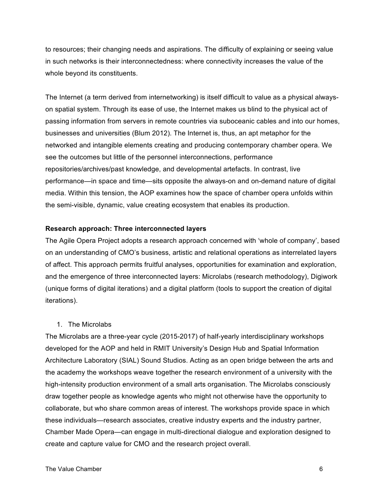to resources; their changing needs and aspirations. The difficulty of explaining or seeing value in such networks is their interconnectedness: where connectivity increases the value of the whole beyond its constituents.

The Internet (a term derived from internetworking) is itself difficult to value as a physical alwayson spatial system. Through its ease of use, the Internet makes us blind to the physical act of passing information from servers in remote countries via suboceanic cables and into our homes, businesses and universities (Blum 2012). The Internet is, thus, an apt metaphor for the networked and intangible elements creating and producing contemporary chamber opera. We see the outcomes but little of the personnel interconnections, performance repositories/archives/past knowledge, and developmental artefacts. In contrast, live performance—in space and time—sits opposite the always-on and on-demand nature of digital media. Within this tension, the AOP examines how the space of chamber opera unfolds within the semi-visible, dynamic, value creating ecosystem that enables its production.

#### **Research approach: Three interconnected layers**

The Agile Opera Project adopts a research approach concerned with 'whole of company', based on an understanding of CMO's business, artistic and relational operations as interrelated layers of affect. This approach permits fruitful analyses, opportunities for examination and exploration, and the emergence of three interconnected layers: Microlabs (research methodology), Digiwork (unique forms of digital iterations) and a digital platform (tools to support the creation of digital iterations).

#### 1. The Microlabs

The Microlabs are a three-year cycle (2015-2017) of half-yearly interdisciplinary workshops developed for the AOP and held in RMIT University's Design Hub and Spatial Information Architecture Laboratory (SIAL) Sound Studios. Acting as an open bridge between the arts and the academy the workshops weave together the research environment of a university with the high-intensity production environment of a small arts organisation. The Microlabs consciously draw together people as knowledge agents who might not otherwise have the opportunity to collaborate, but who share common areas of interest. The workshops provide space in which these individuals—research associates, creative industry experts and the industry partner, Chamber Made Opera—can engage in multi-directional dialogue and exploration designed to create and capture value for CMO and the research project overall.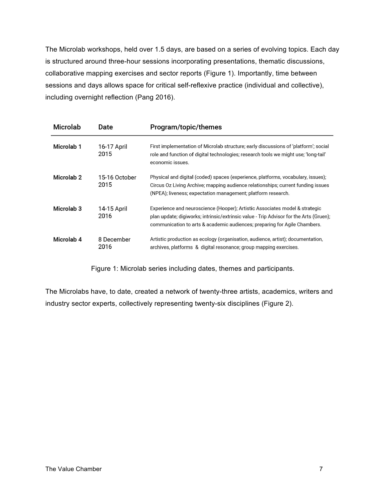The Microlab workshops, held over 1.5 days, are based on a series of evolving topics. Each day is structured around three-hour sessions incorporating presentations, thematic discussions, collaborative mapping exercises and sector reports (Figure 1). Importantly, time between sessions and days allows space for critical self-reflexive practice (individual and collective), including overnight reflection (Pang 2016).

| <b>Microlab</b>       | Date                  | Program/topic/themes                                                                                                                                                                                                                               |
|-----------------------|-----------------------|----------------------------------------------------------------------------------------------------------------------------------------------------------------------------------------------------------------------------------------------------|
| Microlab <sub>1</sub> | 16-17 April<br>2015   | First implementation of Microlab structure; early discussions of 'platform'; social<br>role and function of digital technologies; research tools we might use; 'long-tail'<br>economic issues.                                                     |
| Microlab <sub>2</sub> | 15-16 October<br>2015 | Physical and digital (coded) spaces (experience, platforms, vocabulary, issues);<br>Circus Oz Living Archive; mapping audience relationships; current funding issues<br>(NPEA); liveness; expectation management; platform research.               |
| Microlab <sub>3</sub> | 14-15 April<br>2016   | Experience and neuroscience (Hooper); Artistic Associates model & strategic<br>plan update; digiworks; intrinsic/extrinsic value - Trip Advisor for the Arts (Gruen);<br>communication to arts & academic audiences; preparing for Agile Chambers. |
| Microlab 4            | 8 December<br>2016    | Artistic production as ecology (organisation, audience, artist); documentation,<br>archives, platforms & digital resonance; group mapping exercises.                                                                                               |

Figure 1: Microlab series including dates, themes and participants.

The Microlabs have, to date, created a network of twenty-three artists, academics, writers and industry sector experts, collectively representing twenty-six disciplines (Figure 2).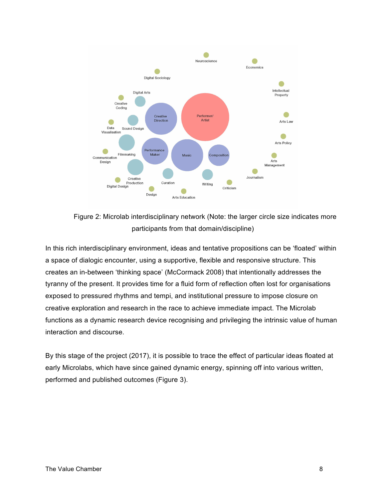

Figure 2: Microlab interdisciplinary network (Note: the larger circle size indicates more participants from that domain/discipline)

In this rich interdisciplinary environment, ideas and tentative propositions can be 'floated' within a space of dialogic encounter, using a supportive, flexible and responsive structure. This creates an in-between 'thinking space' (McCormack 2008) that intentionally addresses the tyranny of the present. It provides time for a fluid form of reflection often lost for organisations exposed to pressured rhythms and tempi, and institutional pressure to impose closure on creative exploration and research in the race to achieve immediate impact. The Microlab functions as a dynamic research device recognising and privileging the intrinsic value of human interaction and discourse.

By this stage of the project (2017), it is possible to trace the effect of particular ideas floated at early Microlabs, which have since gained dynamic energy, spinning off into various written, performed and published outcomes (Figure 3).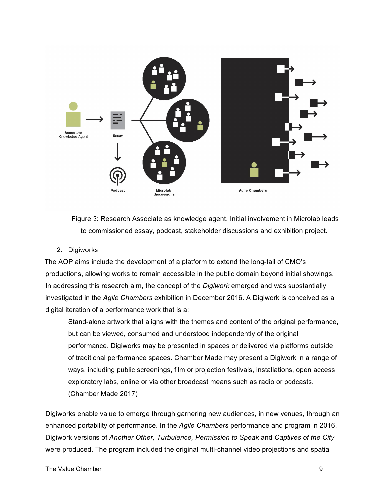

Figure 3: Research Associate as knowledge agent. Initial involvement in Microlab leads to commissioned essay, podcast, stakeholder discussions and exhibition project.

### 2. Digiworks

The AOP aims include the development of a platform to extend the long-tail of CMO's productions, allowing works to remain accessible in the public domain beyond initial showings. In addressing this research aim, the concept of the *Digiwork* emerged and was substantially investigated in the *Agile Chambers* exhibition in December 2016. A Digiwork is conceived as a digital iteration of a performance work that is a:

Stand-alone artwork that aligns with the themes and content of the original performance, but can be viewed, consumed and understood independently of the original performance. Digiworks may be presented in spaces or delivered via platforms outside of traditional performance spaces. Chamber Made may present a Digiwork in a range of ways, including public screenings, film or projection festivals, installations, open access exploratory labs, online or via other broadcast means such as radio or podcasts. (Chamber Made 2017)

Digiworks enable value to emerge through garnering new audiences, in new venues, through an enhanced portability of performance. In the *Agile Chambers* performance and program in 2016, Digiwork versions of *Another Other, Turbulence, Permission to Speak* and *Captives of the City* were produced. The program included the original multi-channel video projections and spatial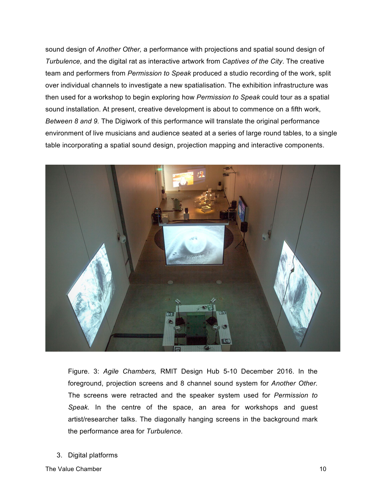sound design of *Another Other,* a performance with projections and spatial sound design of *Turbulence,* and the digital rat as interactive artwork from *Captives of the City*. The creative team and performers from *Permission to Speak* produced a studio recording of the work, split over individual channels to investigate a new spatialisation. The exhibition infrastructure was then used for a workshop to begin exploring how *Permission to Speak* could tour as a spatial sound installation. At present, creative development is about to commence on a fifth work, *Between 8 and 9.* The Digiwork of this performance will translate the original performance environment of live musicians and audience seated at a series of large round tables, to a single table incorporating a spatial sound design, projection mapping and interactive components.



Figure. 3: *Agile Chambers,* RMIT Design Hub 5-10 December 2016. In the foreground, projection screens and 8 channel sound system for *Another Other.*  The screens were retracted and the speaker system used for *Permission to Speak.* In the centre of the space, an area for workshops and guest artist/researcher talks. The diagonally hanging screens in the background mark the performance area for *Turbulence.*

3. Digital platforms

The Value Chamber 2008 and the Value Chamber 2008 and the Value Chamber 2008 and the Value Chamber 2008 and the Value Chamber 2008 and the Value Chamber 2008 and the Value Chamber 2008 and the Value Chamber 2008 and the Va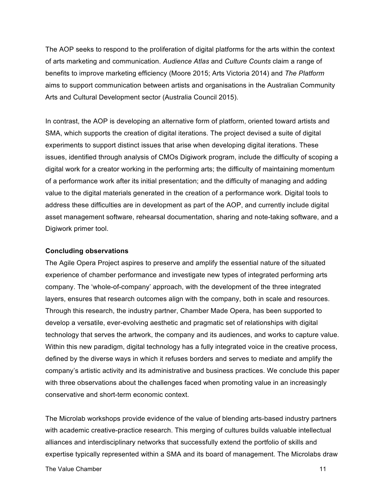The AOP seeks to respond to the proliferation of digital platforms for the arts within the context of arts marketing and communication. *Audience Atlas* and *Culture Counts* claim a range of benefits to improve marketing efficiency (Moore 2015; Arts Victoria 2014) and *The Platform* aims to support communication between artists and organisations in the Australian Community Arts and Cultural Development sector (Australia Council 2015).

In contrast, the AOP is developing an alternative form of platform, oriented toward artists and SMA, which supports the creation of digital iterations. The project devised a suite of digital experiments to support distinct issues that arise when developing digital iterations. These issues, identified through analysis of CMOs Digiwork program, include the difficulty of scoping a digital work for a creator working in the performing arts; the difficulty of maintaining momentum of a performance work after its initial presentation; and the difficulty of managing and adding value to the digital materials generated in the creation of a performance work. Digital tools to address these difficulties are in development as part of the AOP, and currently include digital asset management software, rehearsal documentation, sharing and note-taking software, and a Digiwork primer tool.

#### **Concluding observations**

The Agile Opera Project aspires to preserve and amplify the essential nature of the situated experience of chamber performance and investigate new types of integrated performing arts company. The 'whole-of-company' approach, with the development of the three integrated layers, ensures that research outcomes align with the company, both in scale and resources. Through this research, the industry partner, Chamber Made Opera, has been supported to develop a versatile, ever-evolving aesthetic and pragmatic set of relationships with digital technology that serves the artwork, the company and its audiences, and works to capture value. Within this new paradigm, digital technology has a fully integrated voice in the creative process, defined by the diverse ways in which it refuses borders and serves to mediate and amplify the company's artistic activity and its administrative and business practices. We conclude this paper with three observations about the challenges faced when promoting value in an increasingly conservative and short-term economic context.

The Microlab workshops provide evidence of the value of blending arts-based industry partners with academic creative-practice research. This merging of cultures builds valuable intellectual alliances and interdisciplinary networks that successfully extend the portfolio of skills and expertise typically represented within a SMA and its board of management. The Microlabs draw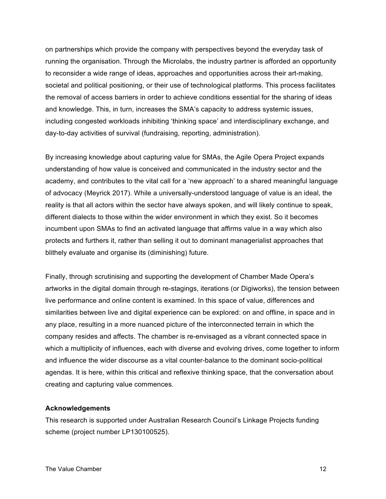on partnerships which provide the company with perspectives beyond the everyday task of running the organisation. Through the Microlabs, the industry partner is afforded an opportunity to reconsider a wide range of ideas, approaches and opportunities across their art-making, societal and political positioning, or their use of technological platforms. This process facilitates the removal of access barriers in order to achieve conditions essential for the sharing of ideas and knowledge. This, in turn, increases the SMA's capacity to address systemic issues, including congested workloads inhibiting 'thinking space' and interdisciplinary exchange, and day-to-day activities of survival (fundraising, reporting, administration).

By increasing knowledge about capturing value for SMAs, the Agile Opera Project expands understanding of how value is conceived and communicated in the industry sector and the academy, and contributes to the vital call for a 'new approach' to a shared meaningful language of advocacy (Meyrick 2017). While a universally-understood language of value is an ideal, the reality is that all actors within the sector have always spoken, and will likely continue to speak, different dialects to those within the wider environment in which they exist. So it becomes incumbent upon SMAs to find an activated language that affirms value in a way which also protects and furthers it, rather than selling it out to dominant managerialist approaches that blithely evaluate and organise its (diminishing) future.

Finally, through scrutinising and supporting the development of Chamber Made Opera's artworks in the digital domain through re-stagings, iterations (or Digiworks), the tension between live performance and online content is examined. In this space of value, differences and similarities between live and digital experience can be explored: on and offline, in space and in any place, resulting in a more nuanced picture of the interconnected terrain in which the company resides and affects. The chamber is re-envisaged as a vibrant connected space in which a multiplicity of influences, each with diverse and evolving drives, come together to inform and influence the wider discourse as a vital counter-balance to the dominant socio-political agendas. It is here, within this critical and reflexive thinking space, that the conversation about creating and capturing value commences.

#### **Acknowledgements**

This research is supported under Australian Research Council's Linkage Projects funding scheme (project number LP130100525).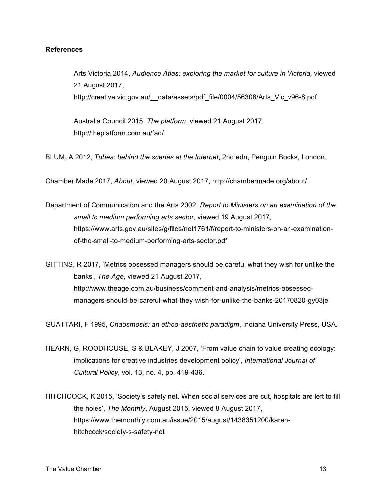## **References**

Arts Victoria 2014, *Audience Atlas: exploring the market for culture in Victoria*, viewed 21 August 2017, http://creative.vic.gov.au/\_\_data/assets/pdf\_file/0004/56308/Arts\_Vic\_v96-8.pdf

Australia Council 2015, *The platform*, viewed 21 August 2017, http://theplatform.com.au/faq/

BLUM, A 2012, *Tubes: behind the scenes at the Internet*, 2nd edn, Penguin Books, London.

Chamber Made 2017, *About,* viewed 20 August 2017, http://chambermade.org/about/

Department of Communication and the Arts 2002, *Report to Ministers on an examination of the small to medium performing arts sector*, viewed 19 August 2017, https://www.arts.gov.au/sites/g/files/net1761/f/report-to-ministers-on-an-examinationof-the-small-to-medium-performing-arts-sector.pdf

GITTINS, R 2017, 'Metrics obsessed managers should be careful what they wish for unlike the banks', *The Age*, viewed 21 August 2017, http://www.theage.com.au/business/comment-and-analysis/metrics-obsessedmanagers-should-be-careful-what-they-wish-for-unlike-the-banks-20170820-gy03je

GUATTARI, F 1995, *Chaosmosis: an ethco-aesthetic paradigm*, Indiana University Press, USA.

- HEARN, G, ROODHOUSE, S & BLAKEY, J 2007, 'From value chain to value creating ecology: implications for creative industries development policy', *International Journal of Cultural Policy*, vol. 13, no. 4, pp. 419-436.
- HITCHCOCK, K 2015, 'Society's safety net. When social services are cut, hospitals are left to fill the holes', *The Monthly*, August 2015, viewed 8 August 2017, https://www.themonthly.com.au/issue/2015/august/1438351200/karenhitchcock/society-s-safety-net